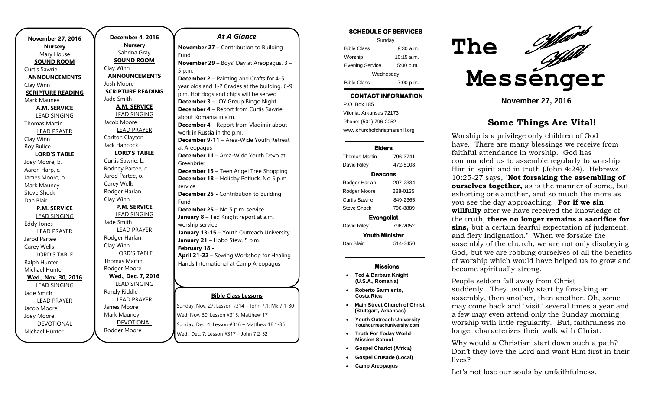| <b>November 27, 2016</b> | December 4           |
|--------------------------|----------------------|
| <b>Nursery</b>           | <b>Nurser</b>        |
| Mary House               | Sabrina G            |
| <b>SOUND ROOM</b>        | <b>SOUND RO</b>      |
| <b>Curtis Sawrie</b>     | Clay Winn            |
| <b>ANNOUNCEMENTS</b>     | <b>ANNOUNCE</b>      |
| Clay Winn                | Josh Moore           |
| <b>SCRIPTURE READING</b> | <b>SCRIPTURE RI</b>  |
| Mark Mauney              | Jade Smith           |
| <b>A.M. SERVICE</b>      | <b>A.M. SERY</b>     |
| <b>LEAD SINGING</b>      | <b>LEAD SING</b>     |
| <b>Thomas Martin</b>     | Jacob Moore          |
| <b>LEAD PRAYER</b>       | <b>LEAD PRA</b>      |
| Clay Winn                | Carlton Claytor      |
| Roy Bulice               | Jack Hancock         |
| <b>LORD'S TABLE</b>      | <b>LORD'S TA</b>     |
| Joey Moore, b.           | Curtis Sawrie, b     |
| Aaron Harp, c.           | Rodney Partee,       |
| James Moore, o.          | Jarod Partee, o      |
| Mark Mauney              | Carey Wells          |
| <b>Steve Shock</b>       | Rodger Harlan        |
| Dan Blair                | Clay Winn            |
| <b>P.M. SERVICE</b>      | P.M. SERI            |
| <b>LEAD SINGING</b>      | <b>LEAD SING</b>     |
| Eddy Jones               | Jade Smith           |
| <b>LEAD PRAYER</b>       | <b>LEAD PRA</b>      |
| Jarod Partee             | Rodger Harlan        |
| Carey Wells              | Clay Winn            |
| <b>LORD'S TABLE</b>      | LORD'S TA            |
| Ralph Hunter             | <b>Thomas Martin</b> |
| Michael Hunter           | Rodger Moore         |
| Wed., Nov. 30, 2016      | Wed., Dec. 7         |
| <b>LEAD SINGING</b>      | <b>LEAD SING</b>     |
| Jade Smith               | Randy Riddle         |
| <b>LEAD PRAYER</b>       | <b>LEAD PRA</b>      |
| Jacob Moore              | James Moore          |
| Joey Moore               | Mark Mauney          |
| <b>DEVOTIONAL</b>        | <b>DEVOTIOI</b>      |
| Michael Hunter           | Rodaer Moore         |

Michael Hunter

**December 4, 2016 Nursery** Sabrina Gray **SOUND ROOM** Clay Winn **ANNOUNCEMENTS** osh Moore **SCRIPTURE READING** ade Smith **A.M. SERVICE** LEAD SINGING acob Moore LEAD PRAYER Carlton Clayton ack Hancock **LORD'S TABLE** Curtis Sawrie, b. dodney Partee, c. arod Partee, o. arey Wells **Codger Harlan** Clay Winn **P.M. SERVICE** LEAD SINGING ade Smith LEAD PRAYER **Codger Harlan** Clay Winn LORD'S TABLE homas Martin odger Moore **Wed., Dec. 7, 2016** LEAD SINGING andy Riddle LEAD PRAYER ames Moore Mark Mauney DEVOTIONAL

#### *At A Glance*

**November 27** – Contribution to Building Fund **November 29** – Boys' Day at Areopagus. 3 – 5 p.m.

**December 2** – Painting and Crafts for 4-5 year olds and 1-2 Grades at the building. 6-9 p.m. Hot dogs and chips will be served **December 3** – JOY Group Bingo Night **December 4** – Report from Curtis Sawrie about Romania in a.m. **December 4** – Report from Vladimir about work in Russia in the p.m. **December 9-11** – Area-Wide Youth Retreat at Areopagus **December 11** – Area-Wide Youth Devo at Greenbrier **December 15** – Teen Angel Tree Shopping **December 18** – Holiday Potluck. No 5 p.m. service **December 25 -** Contribution to Building Fund **December 25** – No 5 p.m. service **January 8** – Ted Knight report at a.m. worship service **January 13-15** – Youth Outreach University January 21 - Hobo Stew. 5 p.m. **February 18 - April 21-22 –** Sewing Workshop for Healing Hands International at Camp Areopagus

#### **Bible Class Lessons**

Sunday, Nov. 27: Lesson #314 – John 7:1; Mk 7:1-30 Wed, Nov. 30: Lesson #315: Matthew 17 Sunday, Dec. 4: Lesson #316 – Matthew 18:1-35 Wed., Dec. 7: Lesson #317 – John 7:2-52

#### **SCHEDULE OF SERVICES**

| Sunday                 |                      |
|------------------------|----------------------|
| <b>Bible Class</b>     | 9.30 a.m.            |
| Worship                | $10:15 \text{ a.m.}$ |
| <b>Evening Service</b> | 5:00 p.m.            |
| Wednesday              |                      |
| <b>Bible Class</b>     | 7:00 p.m.            |

## **CONTACT INFORMATION**

. .o. Bex Tee<br>Vilonia, Arkansas 72173 P.O. Box 185 Phone: (501) 796-2052 www.churchofchristmarshill.org

#### **Elders**

Thomas Martin 796-3741 David Riley 472-5108 **Deacons**  Rodger Harlan 207-2334 Rodger Moore 288-0135 Curtis Sawrie 849-2365 Steve Shock 796-8889 **Evangelist**  David Riley 796-2052 **Youth Minister** 

Dan Blair 514-3450

#### **Missions**

- **Ted & Barbara Knight (U.S.A., Romania)**
- **Roberto Sarmiento, Costa Rica**
- **Main Street Church of Christ (Stuttgart, Arkansas)**
- **Youth Outreach University Youthourreachuniversity.com**
- **Truth For Today World Mission School**
- **Gospel Chariot (Africa)**
- **Gospel Crusade (Local)**
- **Camp Areopagus**



**November 27, 2016**

## **Some Things Are Vital!**

Worship is a privilege only children of God have. There are many blessings we receive from faithful attendance in worship. God has commanded us to assemble regularly to worship Him in spirit and in truth (John 4:24). Hebrews 10:25-27 says, "**Not forsaking the assembling of ourselves together,** as is the manner of some, but exhorting one another, and so much the more as you see the day approaching. **For if we sin willfully** after we have received the knowledge of the truth, **there no longer remains a sacrifice for sins,** but a certain fearful expectation of judgment, and fiery indignation." When we forsake the assembly of the church, we are not only disobeying God, but we are robbing ourselves of all the benefits of worship which would have helped us to grow and become spiritually strong.

People seldom fall away from Christ suddenly. They usually start by forsaking an

assembly, then another, then another. Oh, some may come back and "visit" several times a year and a few may even attend only the Sunday morning worship with little regularity. But, faithfulness no longer characterizes their walk with Christ.

Why would a Christian start down such a path? Don't they love the Lord and want Him first in their lives?

Let's not lose our souls by unfaithfulness.